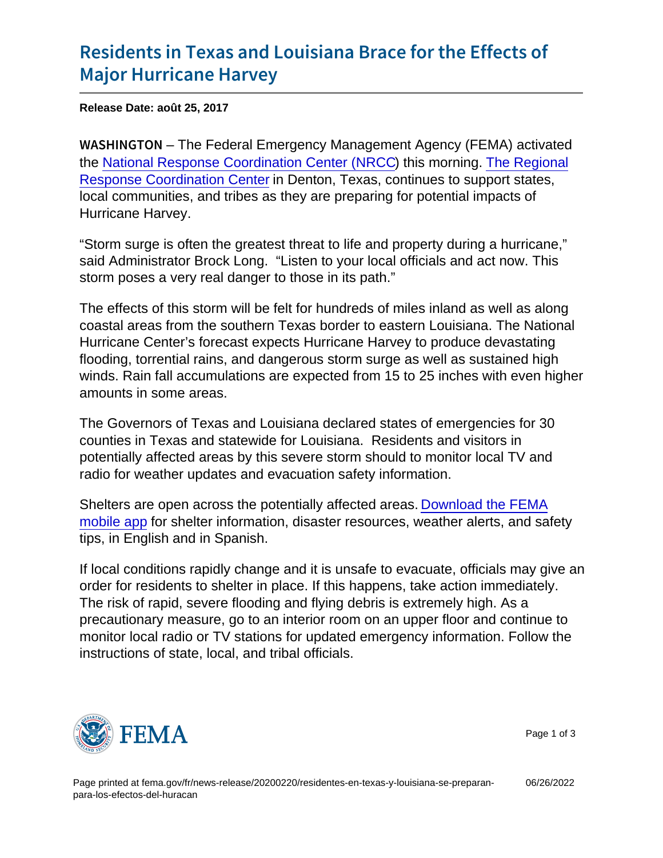## [Residents in Texas and Louisiana](https://www.fema.gov/press-release/20210318/residents-texas-and-louisiana-brace-effects-major-hurricane-harvey) Brace for the Effects of [Major Hurrican](https://www.fema.gov/press-release/20210318/residents-texas-and-louisiana-brace-effects-major-hurricane-harvey)e Harvey

Release Date: août 25, 2017

W A S H I N G TIO Free Federal Emergency Management Agency (FEMA) activated the [National Response Coordination Center \(NRCC\)](https://www.fema.gov/media-library-data/1440617086835-f6489d2de59dddeba8bebc9b4d419009/NRCC_July_2015.pdf) this morning. [The Regional](https://www.fema.gov/media-library-data/1440617086850-f6489d2de59dddeba8bebc9b4d419009/RRCC_July_2015_508.pdf) [Response Coordination Center](https://www.fema.gov/media-library-data/1440617086850-f6489d2de59dddeba8bebc9b4d419009/RRCC_July_2015_508.pdf) in Denton, Texas, continues to support states, local communities, and tribes as they are preparing for potential impacts of Hurricane Harvey.

"Storm surge is often the greatest threat to life and property during a hurricane," said Administrator Brock Long. "Listen to your local officials and act now. This storm poses a very real danger to those in its path."

The effects of this storm will be felt for hundreds of miles inland as well as along coastal areas from the southern Texas border to eastern Louisiana. The National Hurricane Center's forecast expects Hurricane Harvey to produce devastating flooding, torrential rains, and dangerous storm surge as well as sustained high winds. Rain fall accumulations are expected from 15 to 25 inches with even higher amounts in some areas.

The Governors of Texas and Louisiana declared states of emergencies for 30 counties in Texas and statewide for Louisiana. Residents and visitors in potentially affected areas by this severe storm should to monitor local TV and radio for weather updates and evacuation safety information.

Shelters are open across the potentially affected areas. [Download the FEMA](http://www.fema.gov/mobile-app) [mobile app](http://www.fema.gov/mobile-app) for shelter information, disaster resources, weather alerts, and safety tips, in English and in Spanish.

If local conditions rapidly change and it is unsafe to evacuate, officials may give an order for residents to shelter in place. If this happens, take action immediately. The risk of rapid, severe flooding and flying debris is extremely high. As a precautionary measure, go to an interior room on an upper floor and continue to monitor local radio or TV stations for updated emergency information. Follow the instructions of state, local, and tribal officials.



Page 1 of 3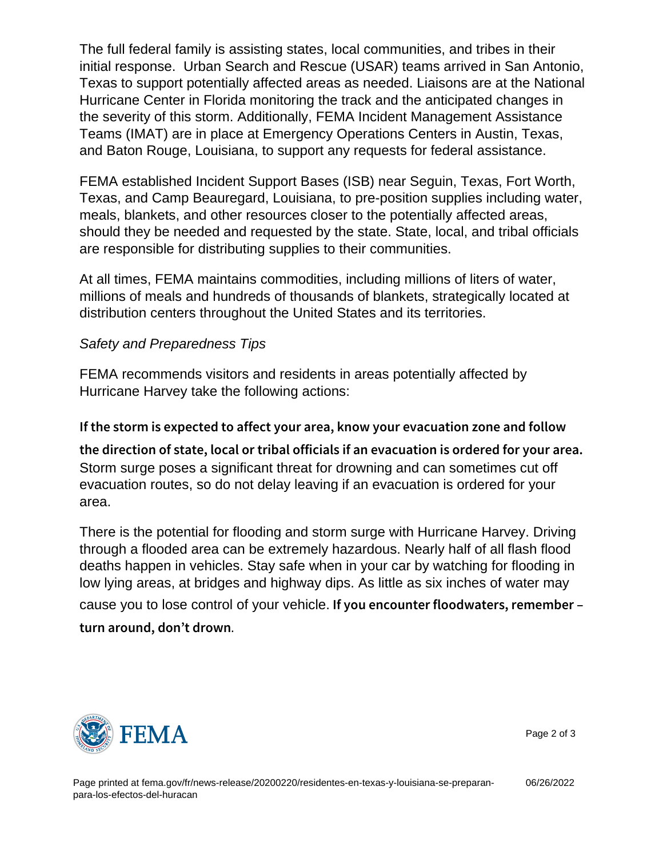The full federal family is assisting states, local communities, and tribes in their initial response. Urban Search and Rescue (USAR) teams arrived in San Antonio, Texas to support potentially affected areas as needed. Liaisons are at the National Hurricane Center in Florida monitoring the track and the anticipated changes in the severity of this storm. Additionally, FEMA Incident Management Assistance Teams (IMAT) are in place at Emergency Operations Centers in Austin, Texas, and Baton Rouge, Louisiana, to support any requests for federal assistance.

FEMA established Incident Support Bases (ISB) near Seguin, Texas, Fort Worth, Texas, and Camp Beauregard, Louisiana, to pre-position supplies including water, meals, blankets, and other resources closer to the potentially affected areas, should they be needed and requested by the state. State, local, and tribal officials are responsible for distributing supplies to their communities.

At all times, FEMA maintains commodities, including millions of liters of water, millions of meals and hundreds of thousands of blankets, strategically located at distribution centers throughout the United States and its territories.

Safety and Preparedness Tips

FEMA recommends visitors and residents in areas potentially affected by Hurricane Harvey take the following actions:

If the storm is expected to affect your area, know your eva the direction of state, local or tribal officials if an evacua Storm surge poses a significant threat for drowning and can sometimes cut off evacuation routes, so do not delay leaving if an evacuation is ordered for your area.

There is the potential for flooding and storm surge with Hurricane Harvey. Driving through a flooded area can be extremely hazardous. Nearly half of all flash flood deaths happen in vehicles. Stay safe when in your car by watching for flooding in low lying areas, at bridges and highway dips. As little as six inches of water may cause you to lose control of your vehicle. If you encounter floodwaters, rem

turn around, don t drown .



Page 2 of 3